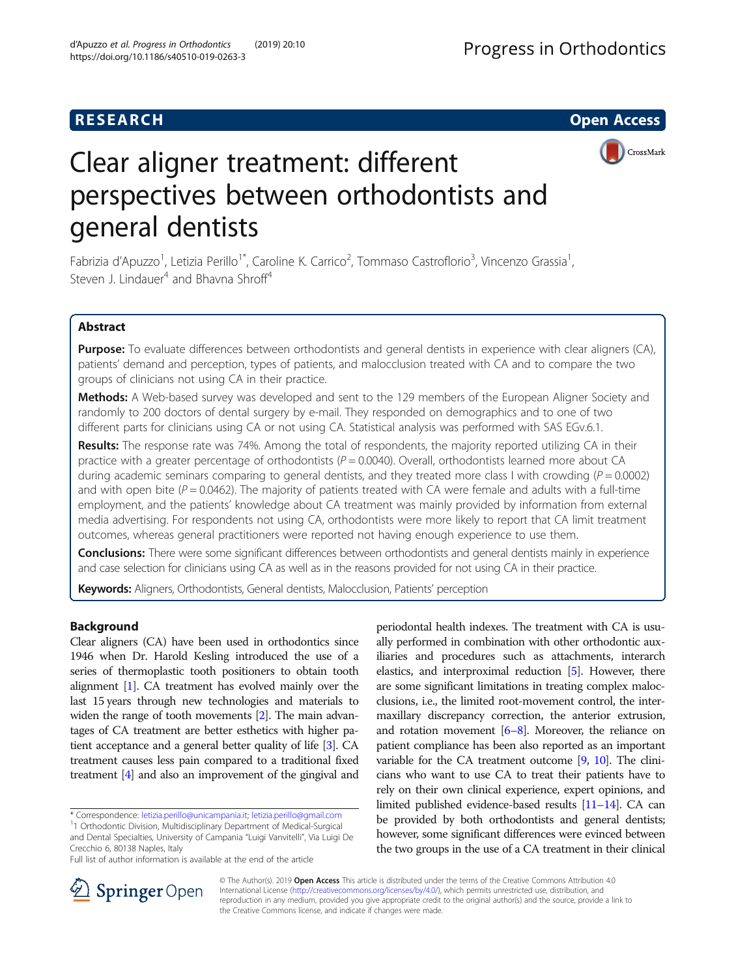

# Clear aligner treatment: different perspectives between orthodontists and general dentists

Fabrizia d'Apuzzo<sup>1</sup>, Letizia Perillo<sup>1\*</sup>, Caroline K. Carrico<sup>2</sup>, Tommaso Castroflorio<sup>3</sup>, Vincenzo Grassia<sup>1</sup> , Steven J. Lindauer<sup>4</sup> and Bhayna Shroff<sup>4</sup>

# Abstract

Purpose: To evaluate differences between orthodontists and general dentists in experience with clear aligners (CA), patients' demand and perception, types of patients, and malocclusion treated with CA and to compare the two groups of clinicians not using CA in their practice.

Methods: A Web-based survey was developed and sent to the 129 members of the European Aligner Society and randomly to 200 doctors of dental surgery by e-mail. They responded on demographics and to one of two different parts for clinicians using CA or not using CA. Statistical analysis was performed with SAS EGv.6.1.

Results: The response rate was 74%. Among the total of respondents, the majority reported utilizing CA in their practice with a greater percentage of orthodontists ( $P = 0.0040$ ). Overall, orthodontists learned more about CA during academic seminars comparing to general dentists, and they treated more class I with crowding  $(P = 0.0002)$ and with open bite ( $P = 0.0462$ ). The majority of patients treated with CA were female and adults with a full-time employment, and the patients' knowledge about CA treatment was mainly provided by information from external media advertising. For respondents not using CA, orthodontists were more likely to report that CA limit treatment outcomes, whereas general practitioners were reported not having enough experience to use them.

Conclusions: There were some significant differences between orthodontists and general dentists mainly in experience and case selection for clinicians using CA as well as in the reasons provided for not using CA in their practice.

**Keywords:** Aligners, Orthodontists, General dentists, Malocclusion, Patients' perception

# Background

Clear aligners (CA) have been used in orthodontics since 1946 when Dr. Harold Kesling introduced the use of a series of thermoplastic tooth positioners to obtain tooth alignment [[1](#page-7-0)]. CA treatment has evolved mainly over the last 15 years through new technologies and materials to widen the range of tooth movements [[2](#page-7-0)]. The main advantages of CA treatment are better esthetics with higher patient acceptance and a general better quality of life [\[3\]](#page-7-0). CA treatment causes less pain compared to a traditional fixed treatment [\[4\]](#page-7-0) and also an improvement of the gingival and

\* Correspondence: [letizia.perillo@unicampania.it](mailto:letizia.perillo@unicampania.it); [letizia.perillo@gmail.com](mailto:letizia.perillo@gmail.com) <sup>1</sup>

<sup>1</sup>1 Orthodontic Division, Multidisciplinary Department of Medical-Surgical

Full list of author information is available at the end of the article

periodontal health indexes. The treatment with CA is usually performed in combination with other orthodontic auxiliaries and procedures such as attachments, interarch elastics, and interproximal reduction [\[5](#page-7-0)]. However, there are some significant limitations in treating complex malocclusions, i.e., the limited root-movement control, the intermaxillary discrepancy correction, the anterior extrusion, and rotation movement  $[6–8]$  $[6–8]$  $[6–8]$  $[6–8]$ . Moreover, the reliance on patient compliance has been also reported as an important variable for the CA treatment outcome [\[9,](#page-7-0) [10](#page-7-0)]. The clinicians who want to use CA to treat their patients have to rely on their own clinical experience, expert opinions, and limited published evidence-based results [[11](#page-7-0)–[14](#page-7-0)]. CA can be provided by both orthodontists and general dentists; however, some significant differences were evinced between the two groups in the use of a CA treatment in their clinical



© The Author(s). 2019 Open Access This article is distributed under the terms of the Creative Commons Attribution 4.0 International License ([http://creativecommons.org/licenses/by/4.0/\)](http://creativecommons.org/licenses/by/4.0/), which permits unrestricted use, distribution, and reproduction in any medium, provided you give appropriate credit to the original author(s) and the source, provide a link to the Creative Commons license, and indicate if changes were made.

and Dental Specialties, University of Campania "Luigi Vanvitelli", Via Luigi De Crecchio 6, 80138 Naples, Italy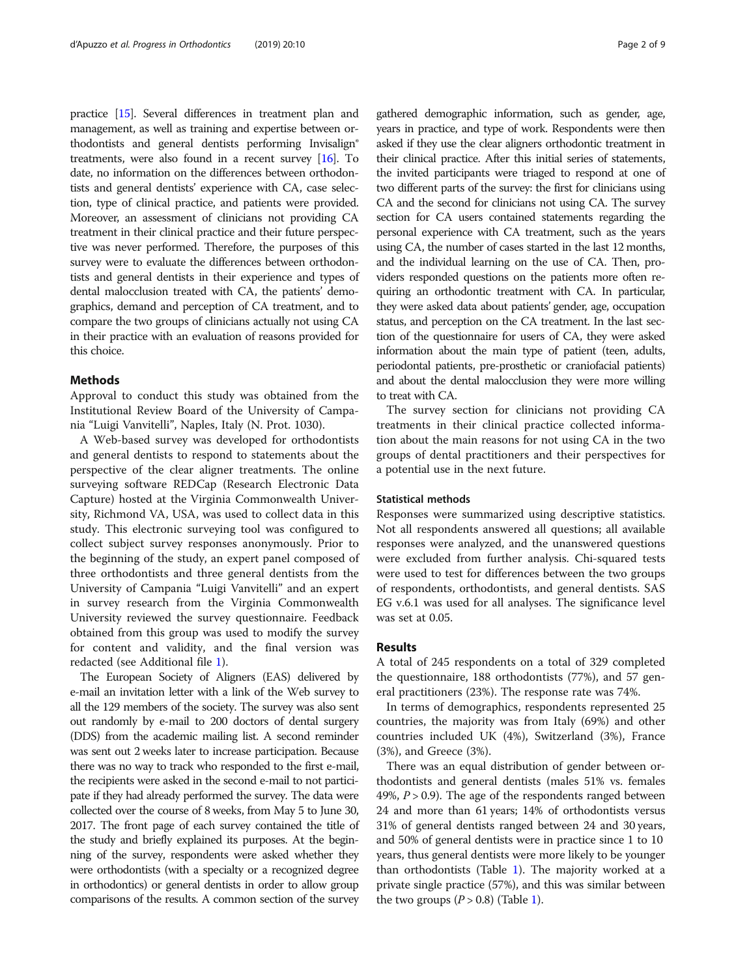practice [\[15](#page-7-0)]. Several differences in treatment plan and management, as well as training and expertise between orthodontists and general dentists performing Invisalign® treatments, were also found in a recent survey [\[16](#page-7-0)]. To date, no information on the differences between orthodontists and general dentists' experience with CA, case selection, type of clinical practice, and patients were provided. Moreover, an assessment of clinicians not providing CA treatment in their clinical practice and their future perspective was never performed. Therefore, the purposes of this survey were to evaluate the differences between orthodontists and general dentists in their experience and types of dental malocclusion treated with CA, the patients' demographics, demand and perception of CA treatment, and to compare the two groups of clinicians actually not using CA in their practice with an evaluation of reasons provided for this choice.

## Methods

Approval to conduct this study was obtained from the Institutional Review Board of the University of Campania "Luigi Vanvitelli", Naples, Italy (N. Prot. 1030).

A Web-based survey was developed for orthodontists and general dentists to respond to statements about the perspective of the clear aligner treatments. The online surveying software REDCap (Research Electronic Data Capture) hosted at the Virginia Commonwealth University, Richmond VA, USA, was used to collect data in this study. This electronic surveying tool was configured to collect subject survey responses anonymously. Prior to the beginning of the study, an expert panel composed of three orthodontists and three general dentists from the University of Campania "Luigi Vanvitelli" and an expert in survey research from the Virginia Commonwealth University reviewed the survey questionnaire. Feedback obtained from this group was used to modify the survey for content and validity, and the final version was redacted (see Additional file [1](#page-7-0)).

The European Society of Aligners (EAS) delivered by e-mail an invitation letter with a link of the Web survey to all the 129 members of the society. The survey was also sent out randomly by e-mail to 200 doctors of dental surgery (DDS) from the academic mailing list. A second reminder was sent out 2 weeks later to increase participation. Because there was no way to track who responded to the first e-mail, the recipients were asked in the second e-mail to not participate if they had already performed the survey. The data were collected over the course of 8 weeks, from May 5 to June 30, 2017. The front page of each survey contained the title of the study and briefly explained its purposes. At the beginning of the survey, respondents were asked whether they were orthodontists (with a specialty or a recognized degree in orthodontics) or general dentists in order to allow group comparisons of the results. A common section of the survey gathered demographic information, such as gender, age, years in practice, and type of work. Respondents were then asked if they use the clear aligners orthodontic treatment in their clinical practice. After this initial series of statements, the invited participants were triaged to respond at one of two different parts of the survey: the first for clinicians using CA and the second for clinicians not using CA. The survey section for CA users contained statements regarding the personal experience with CA treatment, such as the years using CA, the number of cases started in the last 12 months, and the individual learning on the use of CA. Then, providers responded questions on the patients more often requiring an orthodontic treatment with CA. In particular, they were asked data about patients' gender, age, occupation status, and perception on the CA treatment. In the last section of the questionnaire for users of CA, they were asked information about the main type of patient (teen, adults, periodontal patients, pre-prosthetic or craniofacial patients) and about the dental malocclusion they were more willing to treat with CA.

The survey section for clinicians not providing CA treatments in their clinical practice collected information about the main reasons for not using CA in the two groups of dental practitioners and their perspectives for a potential use in the next future.

# Statistical methods

Responses were summarized using descriptive statistics. Not all respondents answered all questions; all available responses were analyzed, and the unanswered questions were excluded from further analysis. Chi-squared tests were used to test for differences between the two groups of respondents, orthodontists, and general dentists. SAS EG v.6.1 was used for all analyses. The significance level was set at 0.05.

## Results

A total of 245 respondents on a total of 329 completed the questionnaire, 188 orthodontists (77%), and 57 general practitioners (23%). The response rate was 74%.

In terms of demographics, respondents represented 25 countries, the majority was from Italy (69%) and other countries included UK (4%), Switzerland (3%), France (3%), and Greece (3%).

There was an equal distribution of gender between orthodontists and general dentists (males 51% vs. females 49%,  $P > 0.9$ ). The age of the respondents ranged between 24 and more than 61 years; 14% of orthodontists versus 31% of general dentists ranged between 24 and 30 years, and 50% of general dentists were in practice since 1 to 10 years, thus general dentists were more likely to be younger than orthodontists (Table [1\)](#page-2-0). The majority worked at a private single practice (57%), and this was similar between the two groups  $(P > 0.8)$  (Table [1\)](#page-2-0).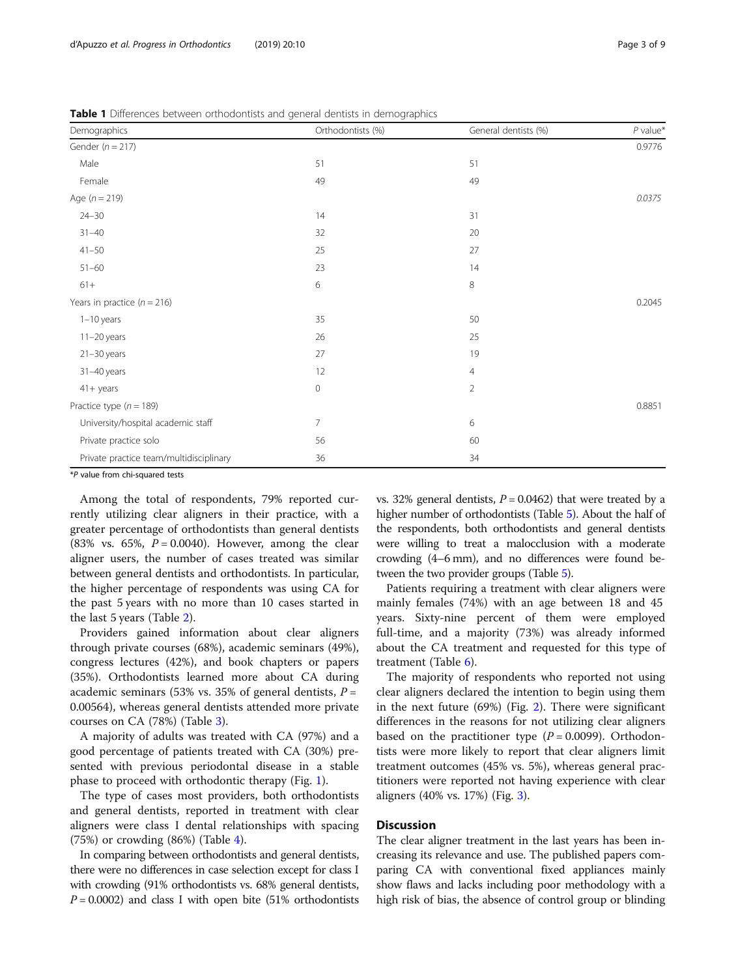\*P value from chi-squared tests

Among the total of respondents, 79% reported currently utilizing clear aligners in their practice, with a greater percentage of orthodontists than general dentists (83% vs. 65%,  $P = 0.0040$ ). However, among the clear aligner users, the number of cases treated was similar between general dentists and orthodontists. In particular, the higher percentage of respondents was using CA for the past 5 years with no more than 10 cases started in the last 5 years (Table [2](#page-3-0)).

Providers gained information about clear aligners through private courses (68%), academic seminars (49%), congress lectures (42%), and book chapters or papers (35%). Orthodontists learned more about CA during academic seminars (53% vs. 35% of general dentists,  $P =$ 0.00564), whereas general dentists attended more private courses on CA (78%) (Table [3](#page-3-0)).

A majority of adults was treated with CA (97%) and a good percentage of patients treated with CA (30%) presented with previous periodontal disease in a stable phase to proceed with orthodontic therapy (Fig. [1\)](#page-4-0).

The type of cases most providers, both orthodontists and general dentists, reported in treatment with clear aligners were class I dental relationships with spacing (75%) or crowding (86%) (Table [4](#page-4-0)).

In comparing between orthodontists and general dentists, there were no differences in case selection except for class I with crowding (91% orthodontists vs. 68% general dentists,  $P = 0.0002$ ) and class I with open bite (51% orthodontists vs. 32% general dentists,  $P = 0.0462$ ) that were treated by a higher number of orthodontists (Table [5](#page-4-0)). About the half of the respondents, both orthodontists and general dentists were willing to treat a malocclusion with a moderate crowding (4–6 mm), and no differences were found between the two provider groups (Table [5](#page-4-0)).

Patients requiring a treatment with clear aligners were mainly females (74%) with an age between 18 and 45 years. Sixty-nine percent of them were employed full-time, and a majority (73%) was already informed about the CA treatment and requested for this type of treatment (Table [6\)](#page-5-0).

The majority of respondents who reported not using clear aligners declared the intention to begin using them in the next future (69%) (Fig. [2](#page-6-0)). There were significant differences in the reasons for not utilizing clear aligners based on the practitioner type  $(P = 0.0099)$ . Orthodontists were more likely to report that clear aligners limit treatment outcomes (45% vs. 5%), whereas general practitioners were reported not having experience with clear aligners (40% vs. 17%) (Fig. [3\)](#page-6-0).

# **Discussion**

The clear aligner treatment in the last years has been increasing its relevance and use. The published papers comparing CA with conventional fixed appliances mainly show flaws and lacks including poor methodology with a high risk of bias, the absence of control group or blinding

| Demographics                            | Orthodontists (%) | General dentists (%) | $P$ value* |
|-----------------------------------------|-------------------|----------------------|------------|
| Gender $(n = 217)$                      |                   |                      | 0.9776     |
| Male                                    | 51                | 51                   |            |
| Female                                  | 49                | 49                   |            |
| Age $(n = 219)$                         |                   |                      | 0.0375     |
| $24 - 30$                               | 14                | 31                   |            |
| $31 - 40$                               | 32                | 20                   |            |
| $41 - 50$                               | 25                | 27                   |            |
| $51 - 60$                               | 23                | 14                   |            |
| $61+$                                   | 6                 | $\,8\,$              |            |
| Years in practice ( $n = 216$ )         |                   |                      | 0.2045     |
| $1-10$ years                            | 35                | 50                   |            |
| $11-20$ years                           | 26                | 25                   |            |
| $21 - 30$ years                         | 27                | 19                   |            |
| 31-40 years                             | 12                | $\overline{4}$       |            |
| $41 +$ years                            | $\mathbf 0$       | $\overline{2}$       |            |
| Practice type $(n = 189)$               |                   |                      | 0.8851     |
| University/hospital academic staff      | $\overline{7}$    | 6                    |            |
| Private practice solo                   | 56                | 60                   |            |
| Private practice team/multidisciplinary | 36                | 34                   |            |

<span id="page-2-0"></span>Table 1 Differences between orthodontists and general dentists in demographics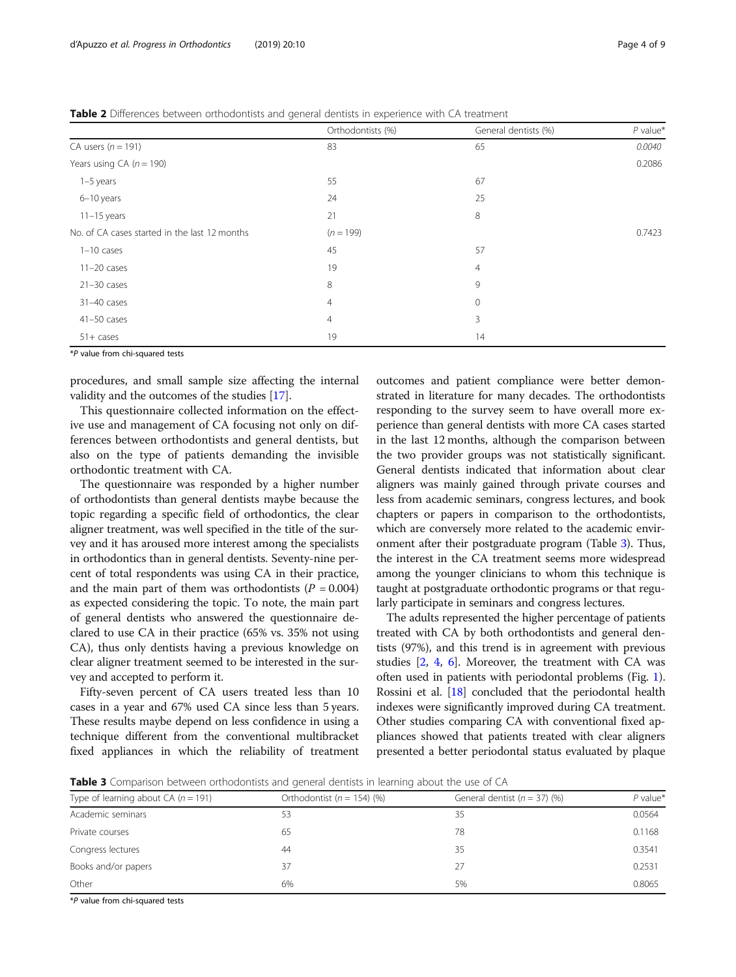<span id="page-3-0"></span>

|                                               | Orthodontists (%) | General dentists (%) | $P$ value* |
|-----------------------------------------------|-------------------|----------------------|------------|
| CA users $(n = 191)$                          | 83                | 65                   | 0.0040     |
| Years using CA ( $n = 190$ )                  |                   |                      | 0.2086     |
| $1-5$ years                                   | 55                | 67                   |            |
| 6-10 years                                    | 24                | 25                   |            |
| $11-15$ years                                 | 21                | 8                    |            |
| No. of CA cases started in the last 12 months | $(n = 199)$       |                      | 0.7423     |
| $1-10$ cases                                  | 45                | 57                   |            |
| $11-20$ cases                                 | 19                | 4                    |            |
| $21 - 30$ cases                               | 8                 | 9                    |            |
| 31-40 cases                                   | $\overline{4}$    | $\overline{0}$       |            |
| $41-50$ cases                                 | $\overline{4}$    | 3                    |            |
| $51 + cases$                                  | 19                | 14                   |            |

\*P value from chi-squared tests

procedures, and small sample size affecting the internal validity and the outcomes of the studies [\[17\]](#page-7-0).

This questionnaire collected information on the effective use and management of CA focusing not only on differences between orthodontists and general dentists, but also on the type of patients demanding the invisible orthodontic treatment with CA.

The questionnaire was responded by a higher number of orthodontists than general dentists maybe because the topic regarding a specific field of orthodontics, the clear aligner treatment, was well specified in the title of the survey and it has aroused more interest among the specialists in orthodontics than in general dentists. Seventy-nine percent of total respondents was using CA in their practice, and the main part of them was orthodontists  $(P = 0.004)$ as expected considering the topic. To note, the main part of general dentists who answered the questionnaire declared to use CA in their practice (65% vs. 35% not using CA), thus only dentists having a previous knowledge on clear aligner treatment seemed to be interested in the survey and accepted to perform it.

Fifty-seven percent of CA users treated less than 10 cases in a year and 67% used CA since less than 5 years. These results maybe depend on less confidence in using a technique different from the conventional multibracket fixed appliances in which the reliability of treatment

outcomes and patient compliance were better demonstrated in literature for many decades. The orthodontists responding to the survey seem to have overall more experience than general dentists with more CA cases started in the last 12 months, although the comparison between the two provider groups was not statistically significant. General dentists indicated that information about clear aligners was mainly gained through private courses and less from academic seminars, congress lectures, and book chapters or papers in comparison to the orthodontists, which are conversely more related to the academic environment after their postgraduate program (Table 3). Thus, the interest in the CA treatment seems more widespread among the younger clinicians to whom this technique is taught at postgraduate orthodontic programs or that regularly participate in seminars and congress lectures.

The adults represented the higher percentage of patients treated with CA by both orthodontists and general dentists (97%), and this trend is in agreement with previous studies [\[2,](#page-7-0) [4](#page-7-0), [6\]](#page-7-0). Moreover, the treatment with CA was often used in patients with periodontal problems (Fig. [1](#page-4-0)). Rossini et al. [\[18\]](#page-7-0) concluded that the periodontal health indexes were significantly improved during CA treatment. Other studies comparing CA with conventional fixed appliances showed that patients treated with clear aligners presented a better periodontal status evaluated by plaque

Table 3 Comparison between orthodontists and general dentists in learning about the use of CA

| Type of learning about CA ( $n = 191$ ) | Orthodontist ( $n = 154$ ) (%) | General dentist ( $n = 37$ ) (%) | $P$ value* |
|-----------------------------------------|--------------------------------|----------------------------------|------------|
| Academic seminars                       | 53                             | 35                               | 0.0564     |
| Private courses                         | 65                             | 78                               | 0.1168     |
| Congress lectures                       | 44                             | 35                               | 0.3541     |
| Books and/or papers                     | 37                             | 27                               | 0.2531     |
| Other                                   | 6%                             | 5%                               | 0.8065     |

\*P value from chi-squared tests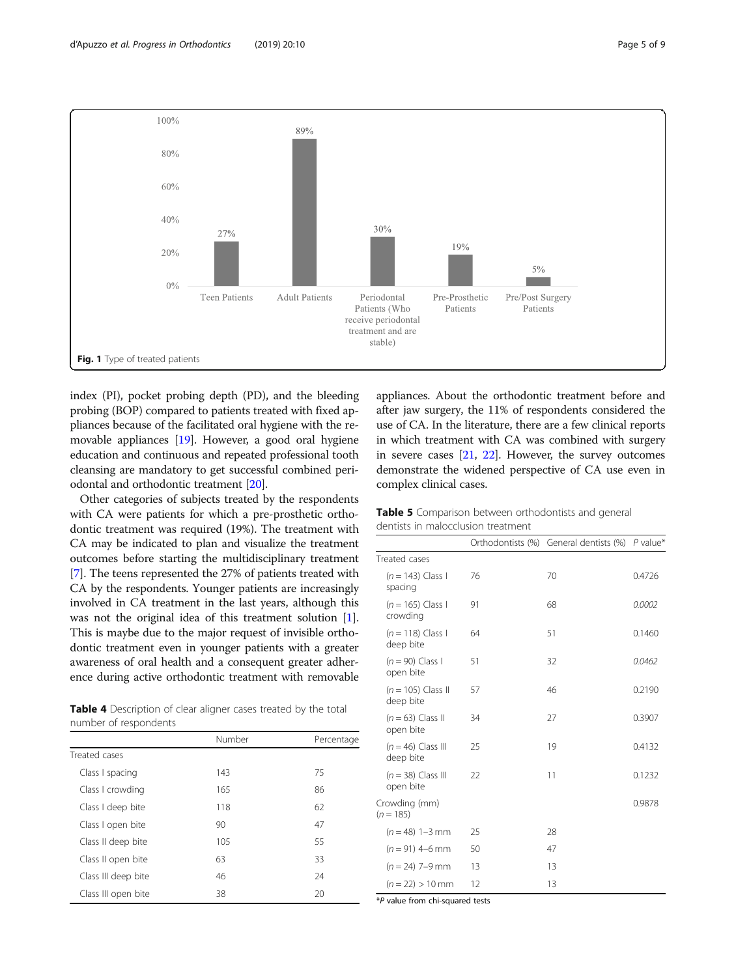<span id="page-4-0"></span>

index (PI), pocket probing depth (PD), and the bleeding probing (BOP) compared to patients treated with fixed appliances because of the facilitated oral hygiene with the removable appliances [\[19](#page-7-0)]. However, a good oral hygiene education and continuous and repeated professional tooth cleansing are mandatory to get successful combined periodontal and orthodontic treatment [[20\]](#page-7-0).

Other categories of subjects treated by the respondents with CA were patients for which a pre-prosthetic orthodontic treatment was required (19%). The treatment with CA may be indicated to plan and visualize the treatment outcomes before starting the multidisciplinary treatment [[7\]](#page-7-0). The teens represented the 27% of patients treated with CA by the respondents. Younger patients are increasingly involved in CA treatment in the last years, although this was not the original idea of this treatment solution [[1](#page-7-0)]. This is maybe due to the major request of invisible orthodontic treatment even in younger patients with a greater awareness of oral health and a consequent greater adherence during active orthodontic treatment with removable

Table 4 Description of clear aligner cases treated by the total number of respondents

|                     | Number | Percentage |
|---------------------|--------|------------|
| Treated cases       |        |            |
| Class I spacing     | 143    | 75         |
| Class I crowding    | 165    | 86         |
| Class I deep bite   | 118    | 62         |
| Class I open bite   | 90     | 47         |
| Class II deep bite  | 105    | 55         |
| Class II open bite  | 63     | 33         |
| Class III deep bite | 46     | 24         |
| Class III open bite | 38     | 20         |

appliances. About the orthodontic treatment before and after jaw surgery, the 11% of respondents considered the use of CA. In the literature, there are a few clinical reports in which treatment with CA was combined with surgery in severe cases [[21](#page-7-0), [22](#page-7-0)]. However, the survey outcomes demonstrate the widened perspective of CA use even in complex clinical cases.

| Table 5 Comparison between orthodontists and general |  |  |
|------------------------------------------------------|--|--|
| dentists in malocclusion treatment                   |  |  |

|                                   |    | Orthodontists (%) General dentists (%) P value* |        |
|-----------------------------------|----|-------------------------------------------------|--------|
| Treated cases                     |    |                                                 |        |
| $(n = 143)$ Class I<br>spacing    | 76 | 70                                              | 0.4726 |
| $(n = 165)$ Class I<br>crowding   | 91 | 68                                              | 0.0002 |
| $(n = 118)$ Class I<br>deep bite  | 64 | 51                                              | 0.1460 |
| $(n = 90)$ Class I<br>open bite   | 51 | 32                                              | 0.0462 |
| $(n = 105)$ Class II<br>deep bite | 57 | 46                                              | 0.2190 |
| $(n=63)$ Class II<br>open bite    | 34 | 27                                              | 0.3907 |
| $(n = 46)$ Class III<br>deep bite | 25 | 19                                              | 0.4132 |
| $(n = 38)$ Class III<br>open bite | 22 | 11                                              | 0.1232 |
| Crowding (mm)<br>$(n = 185)$      |    |                                                 | 0.9878 |
| $(n = 48)$ 1–3 mm                 | 25 | 28                                              |        |
| $(n = 91)$ 4–6 mm                 | 50 | 47                                              |        |
| $(n = 24)$ 7-9 mm                 | 13 | 13                                              |        |
| $(n = 22) > 10$ mm                | 12 | 13                                              |        |

\*P value from chi-squared tests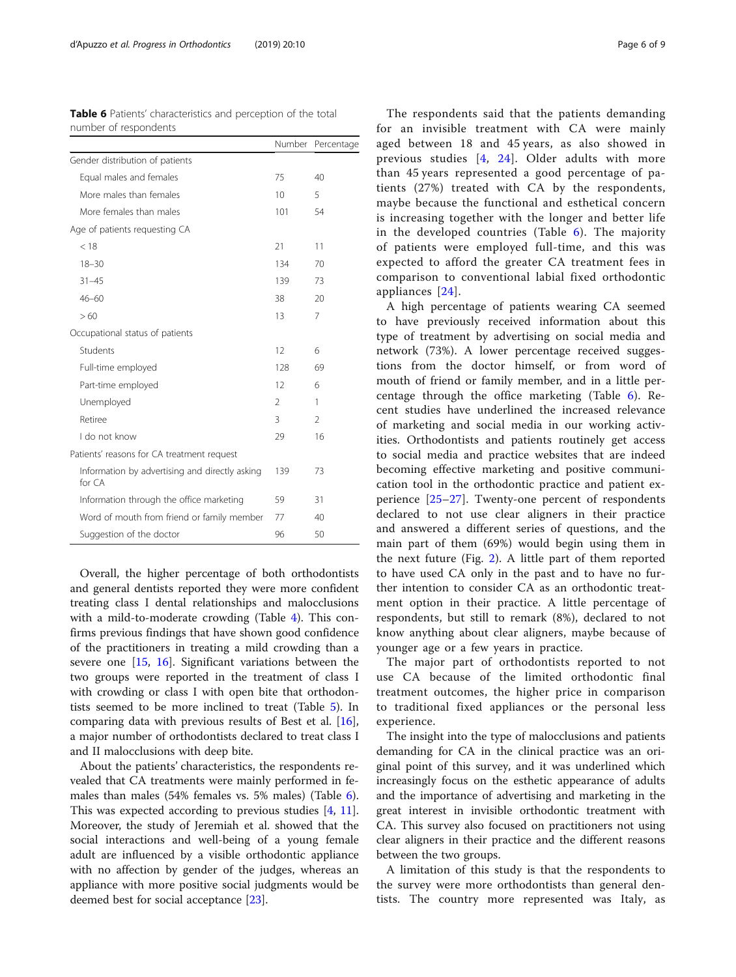<span id="page-5-0"></span>

|                       | <b>Table 6</b> Patients' characteristics and perception of the total |  |  |
|-----------------------|----------------------------------------------------------------------|--|--|
| number of respondents |                                                                      |  |  |

|                                                          |                 | Number Percentage |
|----------------------------------------------------------|-----------------|-------------------|
| Gender distribution of patients                          |                 |                   |
| Equal males and females                                  | 75              | 40                |
| More males than females                                  | 10 <sup>2</sup> | 5                 |
| More females than males                                  | 101             | 54                |
| Age of patients requesting CA                            |                 |                   |
| < 18                                                     | 21              | 11                |
| $18 - 30$                                                | 134             | 70                |
| $31 - 45$                                                | 139             | 73                |
| $46 - 60$                                                | 38              | 20                |
| >60                                                      | 13              | 7                 |
| Occupational status of patients                          |                 |                   |
| Students                                                 | 12              | 6                 |
| Full-time employed                                       | 128             | 69                |
| Part-time employed                                       | 12              | 6                 |
| Unemployed                                               | $\mathfrak{D}$  | 1                 |
| Retiree                                                  | 3               | $\mathfrak{D}$    |
| I do not know                                            | 29              | 16                |
| Patients' reasons for CA treatment request               |                 |                   |
| Information by advertising and directly asking<br>for CA | 139             | 73                |
| Information through the office marketing                 | 59              | 31                |
| Word of mouth from friend or family member               | 77              | 40                |
| Suggestion of the doctor                                 | 96              | 50                |

Overall, the higher percentage of both orthodontists and general dentists reported they were more confident treating class I dental relationships and malocclusions with a mild-to-moderate crowding (Table [4](#page-4-0)). This confirms previous findings that have shown good confidence of the practitioners in treating a mild crowding than a severe one [[15,](#page-7-0) [16](#page-7-0)]. Significant variations between the two groups were reported in the treatment of class I with crowding or class I with open bite that orthodontists seemed to be more inclined to treat (Table [5](#page-4-0)). In comparing data with previous results of Best et al. [\[16](#page-7-0)], a major number of orthodontists declared to treat class I and II malocclusions with deep bite.

About the patients' characteristics, the respondents revealed that CA treatments were mainly performed in females than males (54% females vs. 5% males) (Table 6). This was expected according to previous studies [[4,](#page-7-0) [11](#page-7-0)]. Moreover, the study of Jeremiah et al. showed that the social interactions and well-being of a young female adult are influenced by a visible orthodontic appliance with no affection by gender of the judges, whereas an appliance with more positive social judgments would be deemed best for social acceptance [[23\]](#page-8-0).

The respondents said that the patients demanding for an invisible treatment with CA were mainly aged between 18 and 45 years, as also showed in previous studies [[4,](#page-7-0) [24](#page-8-0)]. Older adults with more than 45 years represented a good percentage of patients (27%) treated with CA by the respondents, maybe because the functional and esthetical concern is increasing together with the longer and better life in the developed countries (Table 6). The majority of patients were employed full-time, and this was expected to afford the greater CA treatment fees in comparison to conventional labial fixed orthodontic appliances [[24](#page-8-0)].

A high percentage of patients wearing CA seemed to have previously received information about this type of treatment by advertising on social media and network (73%). A lower percentage received suggestions from the doctor himself, or from word of mouth of friend or family member, and in a little percentage through the office marketing (Table 6). Recent studies have underlined the increased relevance of marketing and social media in our working activities. Orthodontists and patients routinely get access to social media and practice websites that are indeed becoming effective marketing and positive communication tool in the orthodontic practice and patient experience [[25](#page-8-0)–[27\]](#page-8-0). Twenty-one percent of respondents declared to not use clear aligners in their practice and answered a different series of questions, and the main part of them (69%) would begin using them in the next future (Fig. [2\)](#page-6-0). A little part of them reported to have used CA only in the past and to have no further intention to consider CA as an orthodontic treatment option in their practice. A little percentage of respondents, but still to remark (8%), declared to not know anything about clear aligners, maybe because of younger age or a few years in practice.

The major part of orthodontists reported to not use CA because of the limited orthodontic final treatment outcomes, the higher price in comparison to traditional fixed appliances or the personal less experience.

The insight into the type of malocclusions and patients demanding for CA in the clinical practice was an original point of this survey, and it was underlined which increasingly focus on the esthetic appearance of adults and the importance of advertising and marketing in the great interest in invisible orthodontic treatment with CA. This survey also focused on practitioners not using clear aligners in their practice and the different reasons between the two groups.

A limitation of this study is that the respondents to the survey were more orthodontists than general dentists. The country more represented was Italy, as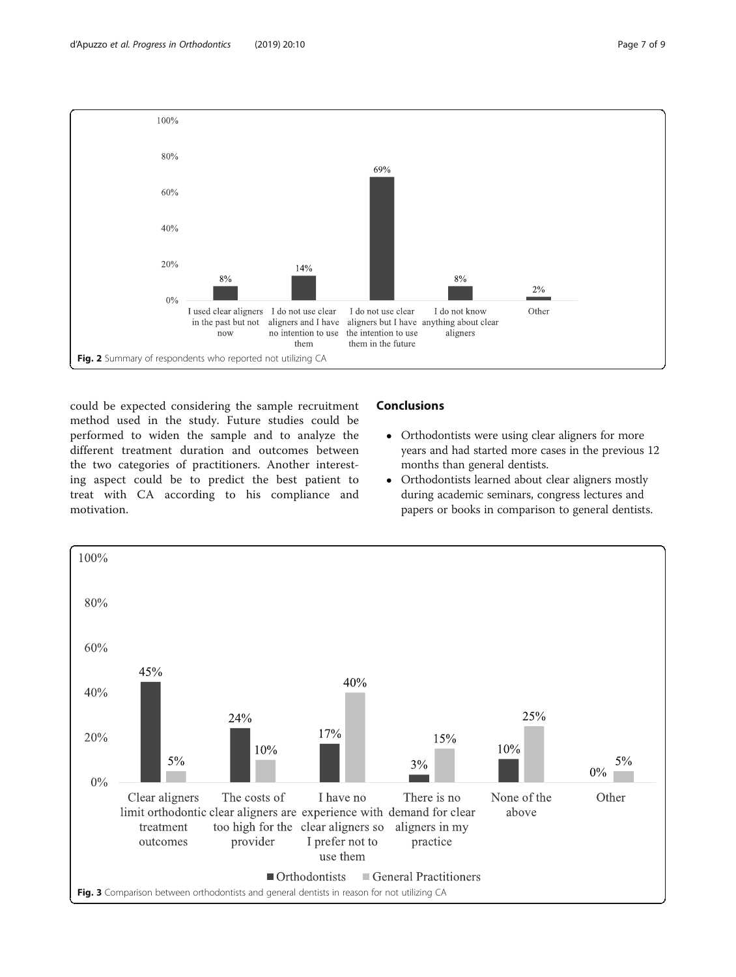<span id="page-6-0"></span>

could be expected considering the sample recruitment method used in the study. Future studies could be performed to widen the sample and to analyze the different treatment duration and outcomes between the two categories of practitioners. Another interesting aspect could be to predict the best patient to treat with CA according to his compliance and motivation.

# Conclusions

- Orthodontists were using clear aligners for more years and had started more cases in the previous 12 months than general dentists.
- Orthodontists learned about clear aligners mostly during academic seminars, congress lectures and papers or books in comparison to general dentists.

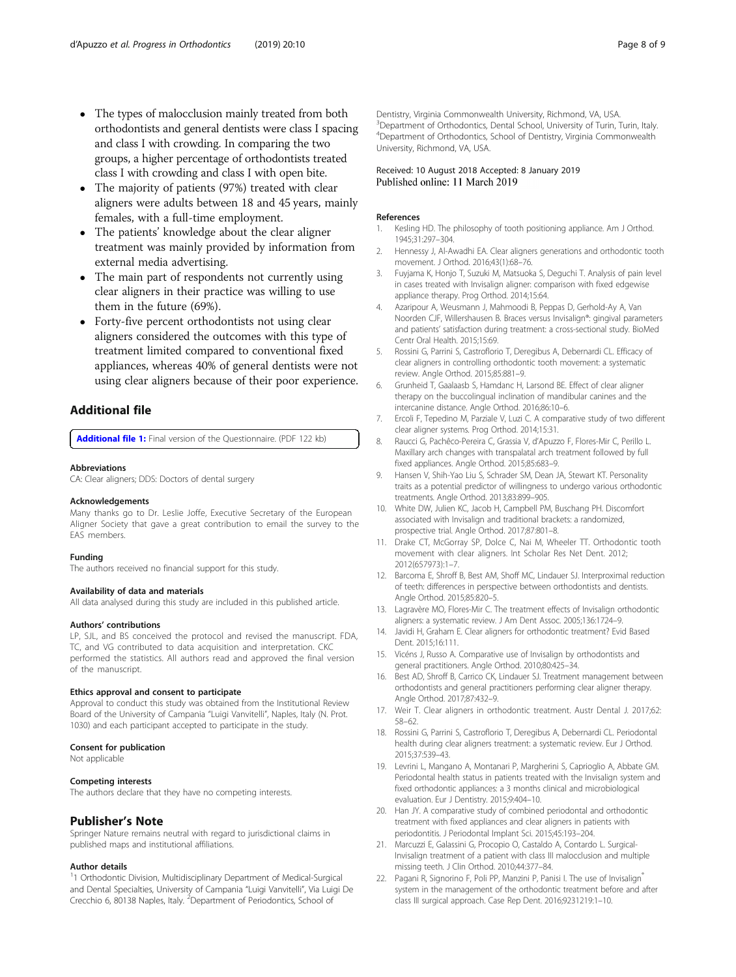- <span id="page-7-0"></span>• The types of malocclusion mainly treated from both orthodontists and general dentists were class I spacing and class I with crowding. In comparing the two groups, a higher percentage of orthodontists treated class I with crowding and class I with open bite.
- The majority of patients (97%) treated with clear aligners were adults between 18 and 45 years, mainly females, with a full-time employment.
- The patients' knowledge about the clear aligner treatment was mainly provided by information from external media advertising.
- The main part of respondents not currently using clear aligners in their practice was willing to use them in the future (69%).
- Forty-five percent orthodontists not using clear aligners considered the outcomes with this type of treatment limited compared to conventional fixed appliances, whereas 40% of general dentists were not using clear aligners because of their poor experience.

# Additional file

[Additional file 1:](https://doi.org/10.1186/s40510-019-0263-3) Final version of the Questionnaire. (PDF 122 kb)

#### Abbreviations

CA: Clear aligners; DDS: Doctors of dental surgery

#### Acknowledgements

Many thanks go to Dr. Leslie Joffe, Executive Secretary of the European Aligner Society that gave a great contribution to email the survey to the EAS members.

## Funding

The authors received no financial support for this study.

#### Availability of data and materials

All data analysed during this study are included in this published article.

## Authors' contributions

LP, SJL, and BS conceived the protocol and revised the manuscript. FDA, TC, and VG contributed to data acquisition and interpretation. CKC performed the statistics. All authors read and approved the final version of the manuscript.

### Ethics approval and consent to participate

Approval to conduct this study was obtained from the Institutional Review Board of the University of Campania "Luigi Vanvitelli", Naples, Italy (N. Prot. 1030) and each participant accepted to participate in the study.

#### Consent for publication

Not applicable

#### Competing interests

The authors declare that they have no competing interests.

## Publisher's Note

Springer Nature remains neutral with regard to jurisdictional claims in published maps and institutional affiliations.

#### Author details

<sup>1</sup>1 Orthodontic Division, Multidisciplinary Department of Medical-Surgical and Dental Specialties, University of Campania "Luigi Vanvitelli", Via Luigi De Crecchio 6, 80138 Naples, Italy. <sup>2</sup> Department of Periodontics, School of

Dentistry, Virginia Commonwealth University, Richmond, VA, USA. <sup>3</sup>Department of Orthodontics, Dental School, University of Turin, Turin, Italy. 4 Department of Orthodontics, School of Dentistry, Virginia Commonwealth University, Richmond, VA, USA.

# Received: 10 August 2018 Accepted: 8 January 2019 Published online: 11 March 2019

#### References

- 1. Kesling HD. The philosophy of tooth positioning appliance. Am J Orthod. 1945;31:297–304.
- 2. Hennessy J, Al-Awadhi EA. Clear aligners generations and orthodontic tooth movement. J Orthod. 2016;43(1):68–76.
- 3. Fuyjama K, Honjo T, Suzuki M, Matsuoka S, Deguchi T. Analysis of pain level in cases treated with Invisalign aligner: comparison with fixed edgewise appliance therapy. Prog Orthod. 2014;15:64.
- 4. Azaripour A, Weusmann J, Mahmoodi B, Peppas D, Gerhold-Ay A, Van Noorden CJF, Willershausen B. Braces versus Invisalign®: gingival parameters and patients' satisfaction during treatment: a cross-sectional study. BioMed Centr Oral Health. 2015;15:69.
- 5. Rossini G, Parrini S, Castroflorio T, Deregibus A, Debernardi CL. Efficacy of clear aligners in controlling orthodontic tooth movement: a systematic review. Angle Orthod. 2015;85:881–9.
- 6. Grunheid T, Gaalaasb S, Hamdanc H, Larsond BE. Effect of clear aligner therapy on the buccolingual inclination of mandibular canines and the intercanine distance. Angle Orthod. 2016;86:10–6.
- 7. Ercoli F, Tepedino M, Parziale V, Luzi C. A comparative study of two different clear aligner systems. Prog Orthod. 2014;15:31.
- 8. Raucci G, Pachêco-Pereira C, Grassia V, d'Apuzzo F, Flores-Mir C, Perillo L. Maxillary arch changes with transpalatal arch treatment followed by full fixed appliances. Angle Orthod. 2015;85:683–9.
- 9. Hansen V, Shih-Yao Liu S, Schrader SM, Dean JA, Stewart KT. Personality traits as a potential predictor of willingness to undergo various orthodontic treatments. Angle Orthod. 2013;83:899–905.
- 10. White DW, Julien KC, Jacob H, Campbell PM, Buschang PH. Discomfort associated with Invisalign and traditional brackets: a randomized, prospective trial. Angle Orthod. 2017;87:801–8.
- 11. Drake CT, McGorray SP, Dolce C, Nai M, Wheeler TT. Orthodontic tooth movement with clear aligners. Int Scholar Res Net Dent. 2012; 2012(657973):1–7.
- 12. Barcoma E, Shroff B, Best AM, Shoff MC, Lindauer SJ. Interproximal reduction of teeth: differences in perspective between orthodontists and dentists. Angle Orthod. 2015;85:820–5.
- 13. Lagravère MO, Flores-Mir C. The treatment effects of Invisalign orthodontic aligners: a systematic review. J Am Dent Assoc. 2005;136:1724–9.
- 14. Javidi H, Graham E. Clear aligners for orthodontic treatment? Evid Based Dent. 2015;16:111.
- 15. Vicéns J, Russo A. Comparative use of Invisalign by orthodontists and general practitioners. Angle Orthod. 2010;80:425–34.
- 16. Best AD, Shroff B, Carrico CK, Lindauer SJ. Treatment management between orthodontists and general practitioners performing clear aligner therapy. Angle Orthod. 2017;87:432–9.
- 17. Weir T. Clear aligners in orthodontic treatment. Austr Dental J. 2017;62: 58–62.
- 18. Rossini G, Parrini S, Castroflorio T, Deregibus A, Debernardi CL. Periodontal health during clear aligners treatment: a systematic review. Eur J Orthod. 2015;37:539–43.
- 19. Levrini L, Mangano A, Montanari P, Margherini S, Caprioglio A, Abbate GM. Periodontal health status in patients treated with the Invisalign system and fixed orthodontic appliances: a 3 months clinical and microbiological evaluation. Eur J Dentistry. 2015;9:404–10.
- 20. Han JY. A comparative study of combined periodontal and orthodontic treatment with fixed appliances and clear aligners in patients with periodontitis. J Periodontal Implant Sci. 2015;45:193–204.
- 21. Marcuzzi E, Galassini G, Procopio O, Castaldo A, Contardo L. Surgical-Invisalign treatment of a patient with class III malocclusion and multiple missing teeth. J Clin Orthod. 2010;44:377–84.
- 22. Pagani R, Signorino F, Poli PP, Manzini P, Panisi I. The use of Invisalign® system in the management of the orthodontic treatment before and after class III surgical approach. Case Rep Dent. 2016;9231219:1–10.